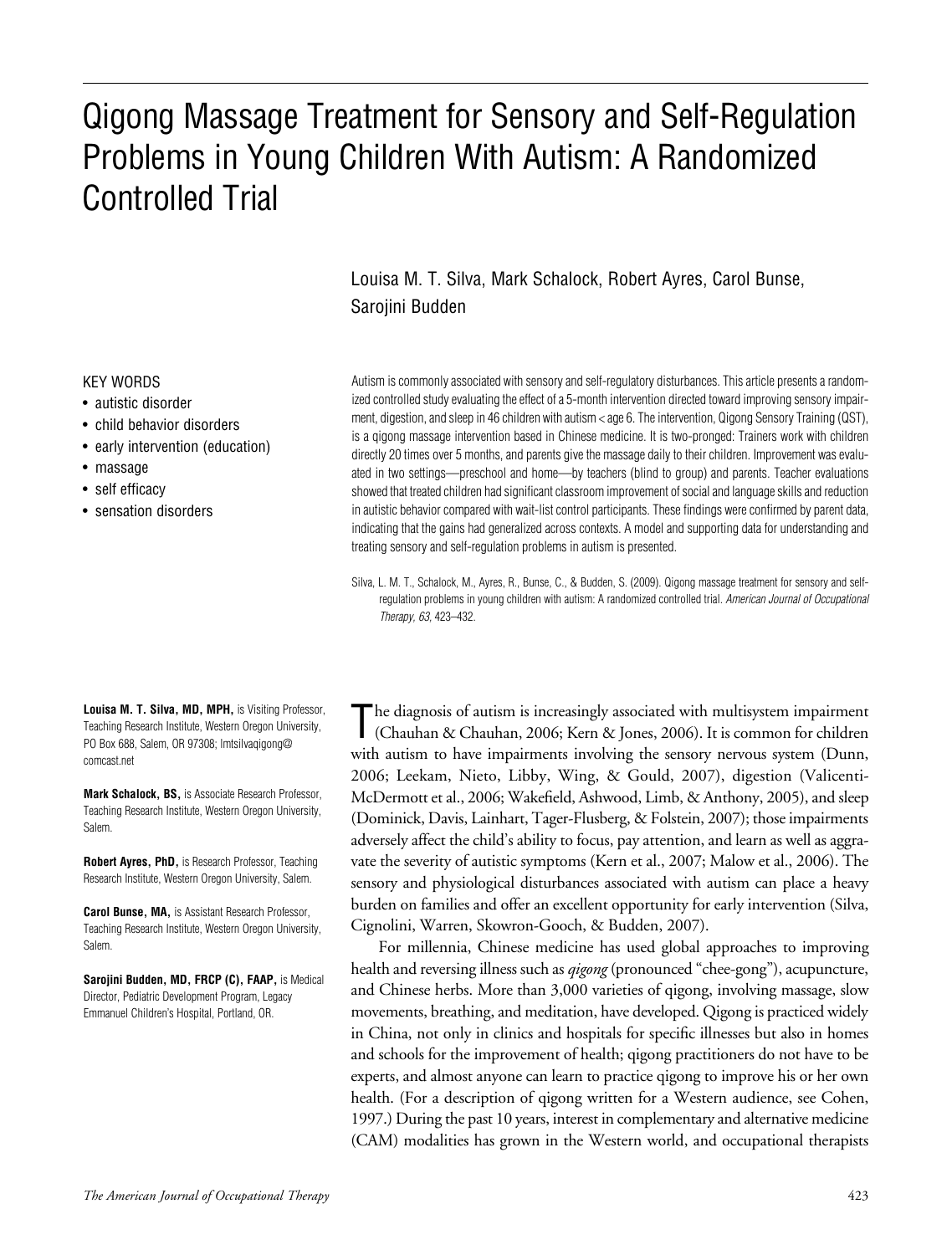# Qigong Massage Treatment for Sensory and Self-Regulation Problems in Young Children With Autism: A Randomized Controlled Trial

Louisa M. T. Silva, Mark Schalock, Robert Ayres, Carol Bunse, Sarojini Budden

#### KEY WORDS

- autistic disorder
- child behavior disorders
- early intervention (education)
- massage
- self efficacy
- sensation disorders

**Louisa M. T. Silva, MD, MPH,** is Visiting Professor, Teaching Research Institute, Western Oregon University, PO Box 688, Salem, OR 97308; Imtsilvaqigong@ comcast.net

**Mark Schalock, BS,** is Associate Research Professor, Teaching Research Institute, Western Oregon University, Salem.

**Robert Ayres, PhD,** is Research Professor, Teaching Research Institute, Western Oregon University, Salem.

**Carol Bunse, MA,** is Assistant Research Professor, Teaching Research Institute, Western Oregon University, Salem.

**Sarojini Budden, MD, FRCP (C), FAAP,** is Medical Director, Pediatric Development Program, Legacy Emmanuel Children's Hospital, Portland, OR.

Autism is commonly associated with sensory and self-regulatory disturbances. This article presents a randomized controlled study evaluating the effect of a 5-month intervention directed toward improving sensory impairment, digestion, and sleep in 46 children with autism < age 6. The intervention, Qigong Sensory Training (QST), is a qigong massage intervention based in Chinese medicine. It is two-pronged: Trainers work with children directly 20 times over 5 months, and parents give the massage daily to their children. Improvement was evaluated in two settings—preschool and home—by teachers (blind to group) and parents. Teacher evaluations showed that treated children had significant classroom improvement of social and language skills and reduction in autistic behavior compared with wait-list control participants. These findings were confirmed by parent data, indicating that the gains had generalized across contexts. A model and supporting data for understanding and treating sensory and self-regulation problems in autism is presented.

Silva, L. M. T., Schalock, M., Ayres, R., Bunse, C., & Budden, S. (2009). Qigong massage treatment for sensory and selfregulation problems in young children with autism: A randomized controlled trial. *American Journal of Occupational Therapy, 63,* 423–432.

The diagnosis of autism is increasingly associated with multisystem impairment (Chauhan & Chauhan, 2006; Kern & Jones, 2006). It is common for children with autism to have impairments involving the sensory nervous system (Dunn, 2006; Leekam, Nieto, Libby, Wing, & Gould, 2007), digestion (Valicenti-McDermott et al., 2006; Wakefield, Ashwood, Limb, & Anthony, 2005), and sleep (Dominick, Davis, Lainhart, Tager-Flusberg, & Folstein, 2007); those impairments adversely affect the child's ability to focus, pay attention, and learn as well as aggravate the severity of autistic symptoms (Kern et al., 2007; Malow et al., 2006). The sensory and physiological disturbances associated with autism can place a heavy burden on families and offer an excellent opportunity for early intervention (Silva, Cignolini, Warren, Skowron-Gooch, & Budden, 2007).

For millennia, Chinese medicine has used global approaches to improving health and reversing illness such as *qigong* (pronounced "chee-gong"), acupuncture, and Chinese herbs. More than 3,000 varieties of qigong, involving massage, slow movements, breathing, and meditation, have developed. Qigong is practiced widely in China, not only in clinics and hospitals for specific illnesses but also in homes and schools for the improvement of health; qigong practitioners do not have to be experts, and almost anyone can learn to practice qigong to improve his or her own health. (For a description of qigong written for a Western audience, see Cohen, 1997.) During the past 10 years, interest in complementary and alternative medicine (CAM) modalities has grown in the Western world, and occupational therapists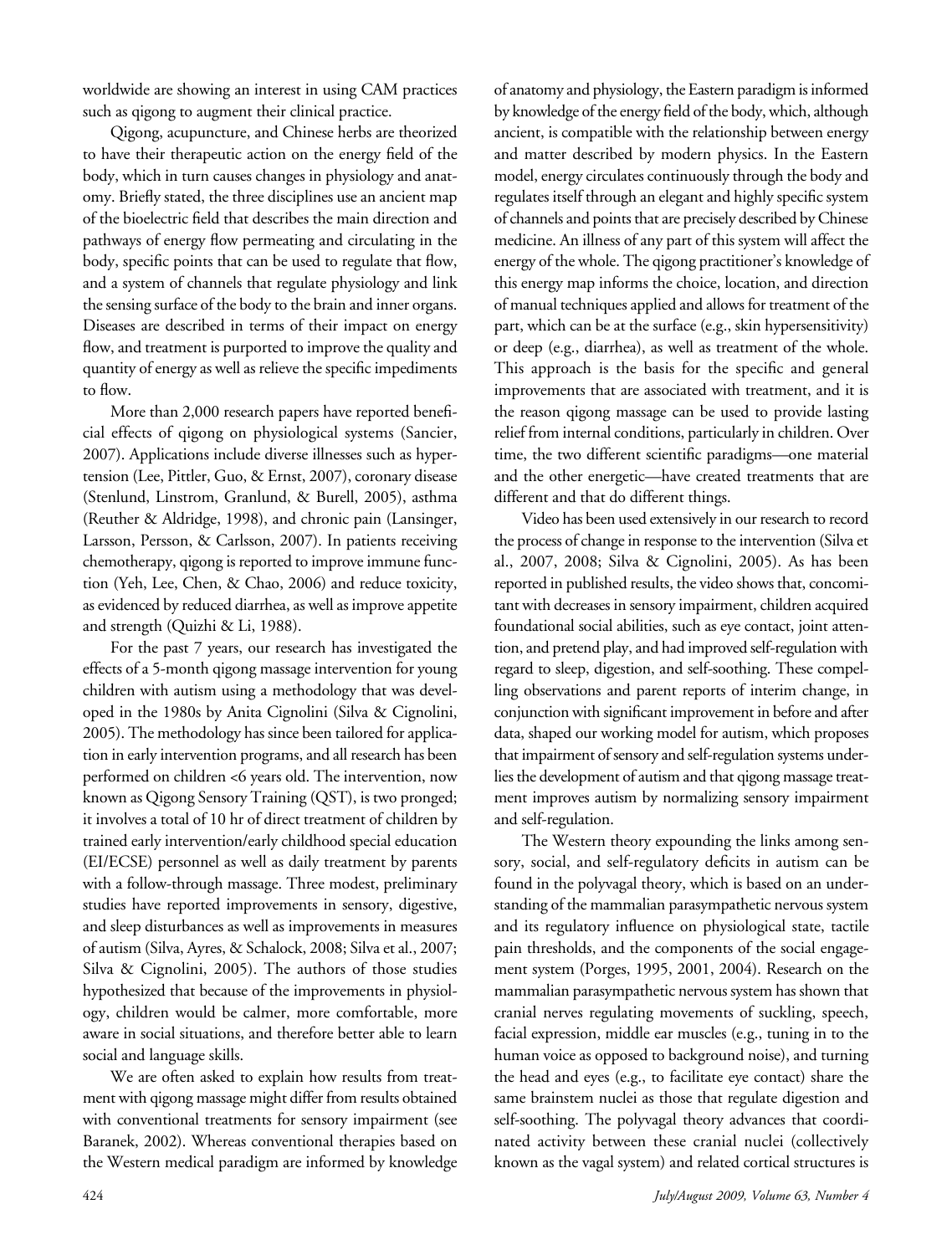worldwide are showing an interest in using CAM practices such as qigong to augment their clinical practice.

Qigong, acupuncture, and Chinese herbs are theorized to have their therapeutic action on the energy field of the body, which in turn causes changes in physiology and anatomy. Briefly stated, the three disciplines use an ancient map of the bioelectric field that describes the main direction and pathways of energy flow permeating and circulating in the body, specific points that can be used to regulate that flow, and a system of channels that regulate physiology and link the sensing surface of the body to the brain and inner organs. Diseases are described in terms of their impact on energy flow, and treatment is purported to improve the quality and quantity of energy as well as relieve the specific impediments to flow.

More than 2,000 research papers have reported beneficial effects of qigong on physiological systems (Sancier, 2007). Applications include diverse illnesses such as hypertension (Lee, Pittler, Guo, & Ernst, 2007), coronary disease (Stenlund, Linstrom, Granlund, & Burell, 2005), asthma (Reuther & Aldridge, 1998), and chronic pain (Lansinger, Larsson, Persson, & Carlsson, 2007). In patients receiving chemotherapy, qigong is reported to improve immune function (Yeh, Lee, Chen, & Chao, 2006) and reduce toxicity, as evidenced by reduced diarrhea, as well as improve appetite and strength (Quizhi & Li, 1988).

For the past 7 years, our research has investigated the effects of a 5-month qigong massage intervention for young children with autism using a methodology that was developed in the 1980s by Anita Cignolini (Silva & Cignolini, 2005). The methodology has since been tailored for application in early intervention programs, and all research has been performed on children <6 years old. The intervention, now known as Qigong Sensory Training (QST), is two pronged; it involves a total of 10 hr of direct treatment of children by trained early intervention/early childhood special education (EI/ECSE) personnel as well as daily treatment by parents with a follow-through massage. Three modest, preliminary studies have reported improvements in sensory, digestive, and sleep disturbances as well as improvements in measures of autism (Silva, Ayres, & Schalock, 2008; Silva et al., 2007; Silva & Cignolini, 2005). The authors of those studies hypothesized that because of the improvements in physiology, children would be calmer, more comfortable, more aware in social situations, and therefore better able to learn social and language skills.

We are often asked to explain how results from treatment with qigong massage might differ from results obtained with conventional treatments for sensory impairment (see Baranek, 2002). Whereas conventional therapies based on the Western medical paradigm are informed by knowledge of anatomy and physiology, the Eastern paradigm is informed by knowledge of the energy field of the body, which, although ancient, is compatible with the relationship between energy and matter described by modern physics. In the Eastern model, energy circulates continuously through the body and regulates itself through an elegant and highly specific system of channels and points that are precisely described by Chinese medicine. An illness of any part of this system will affect the energy of the whole. The qigong practitioner's knowledge of this energy map informs the choice, location, and direction of manual techniques applied and allows for treatment of the part, which can be at the surface (e.g., skin hypersensitivity) or deep (e.g., diarrhea), as well as treatment of the whole. This approach is the basis for the specific and general improvements that are associated with treatment, and it is the reason qigong massage can be used to provide lasting relief from internal conditions, particularly in children. Over time, the two different scientific paradigms—one material and the other energetic—have created treatments that are different and that do different things.

Video has been used extensively in our research to record the process of change in response to the intervention (Silva et al., 2007, 2008; Silva & Cignolini, 2005). As has been reported in published results, the video shows that, concomitant with decreases in sensory impairment, children acquired foundational social abilities, such as eye contact, joint attention, and pretend play, and had improved self-regulation with regard to sleep, digestion, and self-soothing. These compelling observations and parent reports of interim change, in conjunction with significant improvement in before and after data, shaped our working model for autism, which proposes that impairment of sensory and self-regulation systems underlies the development of autism and that qigong massage treatment improves autism by normalizing sensory impairment and self-regulation.

The Western theory expounding the links among sensory, social, and self-regulatory deficits in autism can be found in the polyvagal theory, which is based on an understanding of the mammalian parasympathetic nervous system and its regulatory influence on physiological state, tactile pain thresholds, and the components of the social engagement system (Porges, 1995, 2001, 2004). Research on the mammalian parasympathetic nervous system has shown that cranial nerves regulating movements of suckling, speech, facial expression, middle ear muscles (e.g., tuning in to the human voice as opposed to background noise), and turning the head and eyes (e.g., to facilitate eye contact) share the same brainstem nuclei as those that regulate digestion and self-soothing. The polyvagal theory advances that coordinated activity between these cranial nuclei (collectively known as the vagal system) and related cortical structures is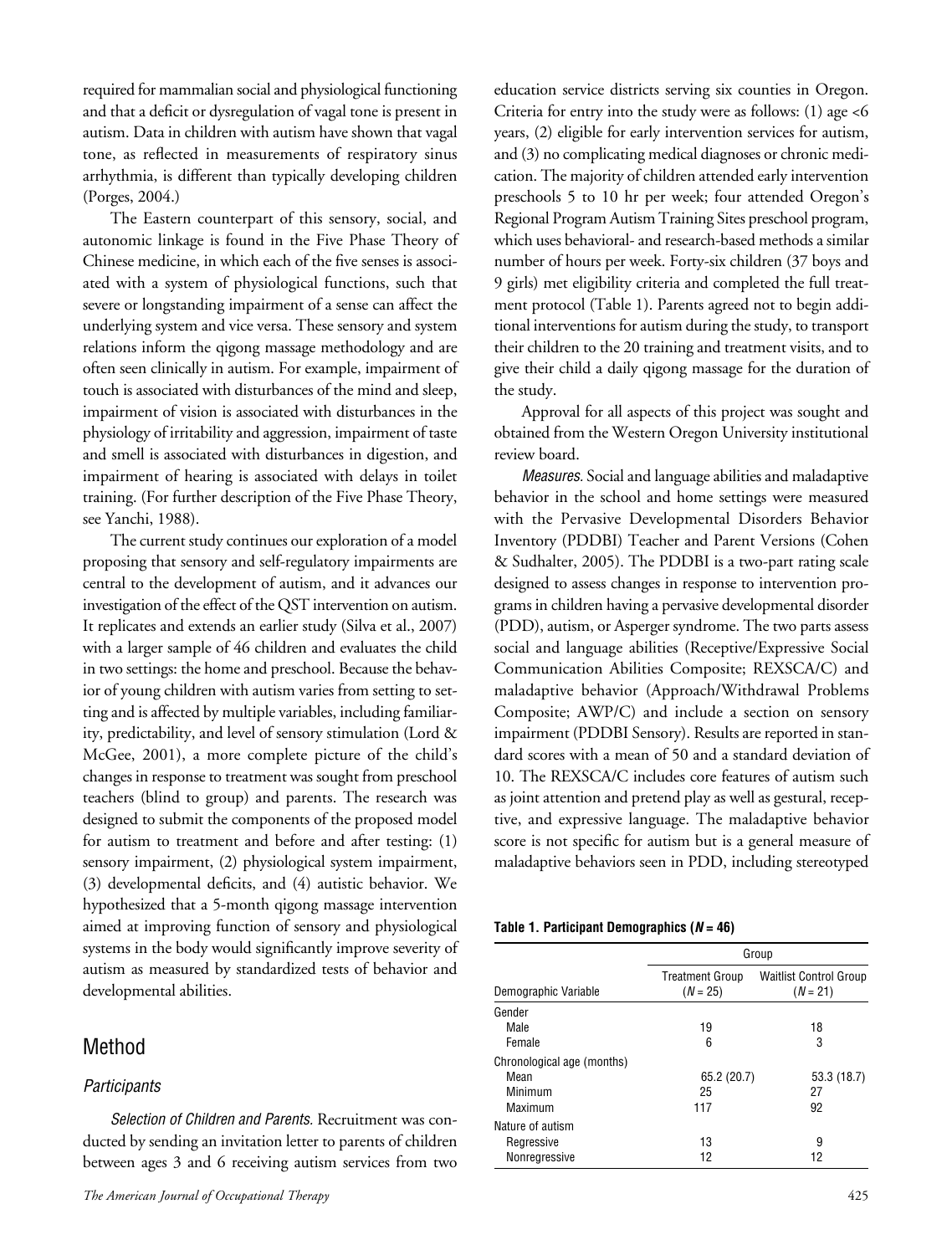required for mammalian social and physiological functioning and that a deficit or dysregulation of vagal tone is present in autism. Data in children with autism have shown that vagal tone, as reflected in measurements of respiratory sinus arrhythmia, is different than typically developing children (Porges, 2004.)

The Eastern counterpart of this sensory, social, and autonomic linkage is found in the Five Phase Theory of Chinese medicine, in which each of the five senses is associated with a system of physiological functions, such that severe or longstanding impairment of a sense can affect the underlying system and vice versa. These sensory and system relations inform the qigong massage methodology and are often seen clinically in autism. For example, impairment of touch is associated with disturbances of the mind and sleep, impairment of vision is associated with disturbances in the physiology of irritability and aggression, impairment of taste and smell is associated with disturbances in digestion, and impairment of hearing is associated with delays in toilet training. (For further description of the Five Phase Theory, see Yanchi, 1988).

The current study continues our exploration of a model proposing that sensory and self-regulatory impairments are central to the development of autism, and it advances our investigation of the effect of the QST intervention on autism. It replicates and extends an earlier study (Silva et al., 2007) with a larger sample of 46 children and evaluates the child in two settings: the home and preschool. Because the behavior of young children with autism varies from setting to setting and is affected by multiple variables, including familiarity, predictability, and level of sensory stimulation (Lord & McGee, 2001), a more complete picture of the child's changes in response to treatment was sought from preschool teachers (blind to group) and parents. The research was designed to submit the components of the proposed model for autism to treatment and before and after testing: (1) sensory impairment, (2) physiological system impairment, (3) developmental deficits, and (4) autistic behavior. We hypothesized that a 5-month qigong massage intervention aimed at improving function of sensory and physiological systems in the body would significantly improve severity of autism as measured by standardized tests of behavior and developmental abilities.

# Method

#### *Participants*

*Selection of Children and Parents.* Recruitment was conducted by sending an invitation letter to parents of children between ages 3 and 6 receiving autism services from two

education service districts serving six counties in Oregon. Criteria for entry into the study were as follows: (1) age <6 years, (2) eligible for early intervention services for autism, and (3) no complicating medical diagnoses or chronic medication. The majority of children attended early intervention preschools 5 to 10 hr per week; four attended Oregon's Regional Program Autism Training Sites preschool program, which uses behavioral- and research-based methods a similar number of hours per week. Forty-six children (37 boys and 9 girls) met eligibility criteria and completed the full treatment protocol (Table 1). Parents agreed not to begin additional interventions for autism during the study, to transport their children to the 20 training and treatment visits, and to give their child a daily qigong massage for the duration of the study.

Approval for all aspects of this project was sought and obtained from the Western Oregon University institutional review board.

*Measures.* Social and language abilities and maladaptive behavior in the school and home settings were measured with the Pervasive Developmental Disorders Behavior Inventory (PDDBI) Teacher and Parent Versions (Cohen & Sudhalter, 2005). The PDDBI is a two-part rating scale designed to assess changes in response to intervention programs in children having a pervasive developmental disorder (PDD), autism, or Asperger syndrome. The two parts assess social and language abilities (Receptive/Expressive Social Communication Abilities Composite; REXSCA/C) and maladaptive behavior (Approach/Withdrawal Problems Composite; AWP/C) and include a section on sensory impairment (PDDBI Sensory). Results are reported in standard scores with a mean of 50 and a standard deviation of 10. The REXSCA/C includes core features of autism such as joint attention and pretend play as well as gestural, receptive, and expressive language. The maladaptive behavior score is not specific for autism but is a general measure of maladaptive behaviors seen in PDD, including stereotyped

| Table 1. Participant Demographics ( <i>N</i> = 46) |  |  |
|----------------------------------------------------|--|--|
|----------------------------------------------------|--|--|

|                            | Group                                |                                             |  |  |
|----------------------------|--------------------------------------|---------------------------------------------|--|--|
| Demographic Variable       | <b>Treatment Group</b><br>$(N = 25)$ | <b>Waitlist Control Group</b><br>$(N = 21)$ |  |  |
| Gender                     |                                      |                                             |  |  |
| Male                       | 19                                   | 18                                          |  |  |
| Female                     | 6                                    | 3                                           |  |  |
| Chronological age (months) |                                      |                                             |  |  |
| Mean                       | 65.2 (20.7)                          | 53.3 (18.7)                                 |  |  |
| Minimum                    | 25                                   | 27                                          |  |  |
| Maximum                    | 117                                  | 92                                          |  |  |
| Nature of autism           |                                      |                                             |  |  |
| Regressive                 | 13                                   | 9                                           |  |  |
| Nonregressive              | 12                                   | 12                                          |  |  |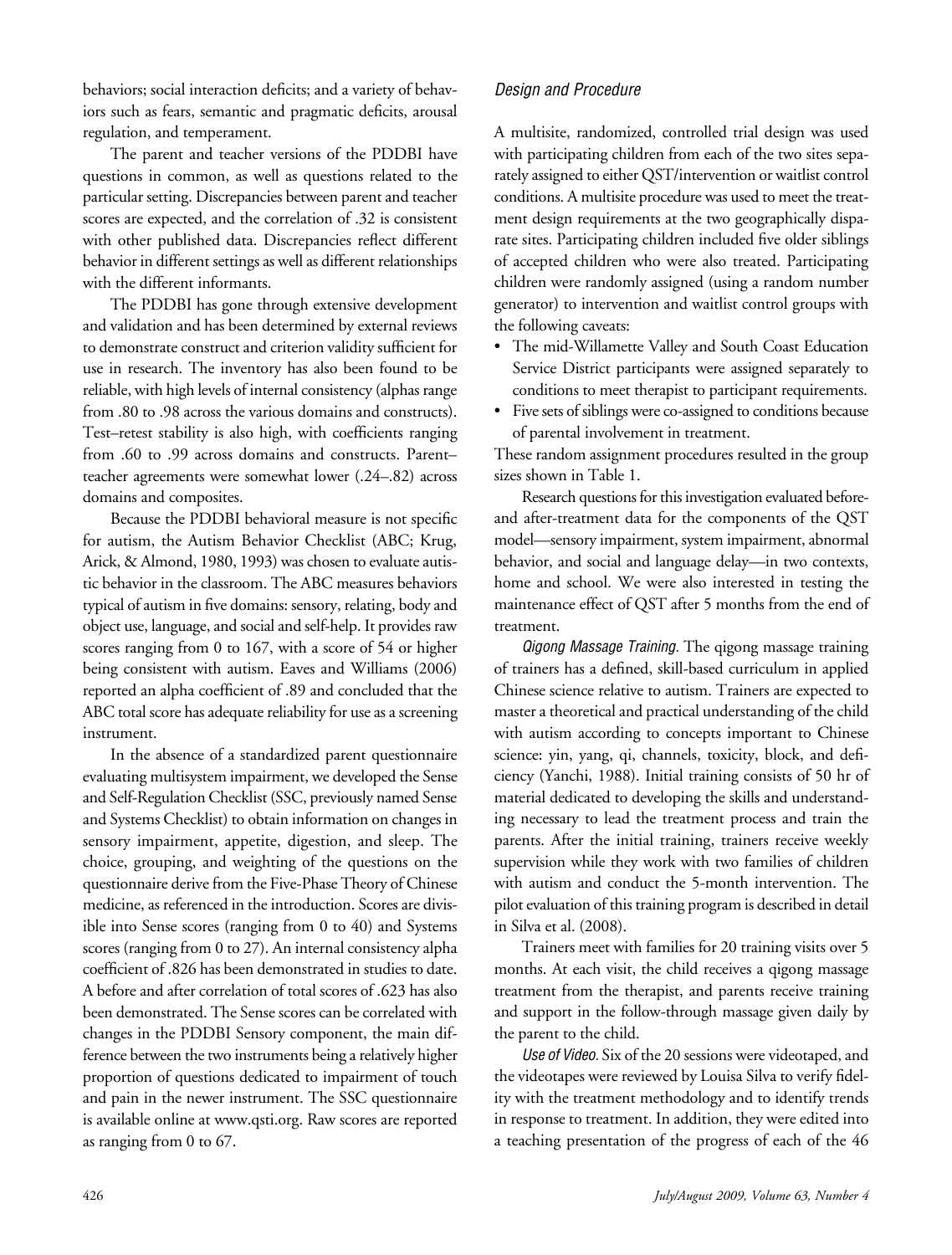behaviors; social interaction deficits; and a variety of behaviors such as fears, semantic and pragmatic deficits, arousal regulation, and temperament.

The parent and teacher versions of the PDDBI have questions in common, as well as questions related to the particular setting. Discrepancies between parent and teacher scores are expected, and the correlation of .32 is consistent with other published data. Discrepancies reflect different behavior in different settings as well as different relationships with the different informants.

The PDDBI has gone through extensive development and validation and has been determined by external reviews to demonstrate construct and criterion validity sufficient for use in research. The inventory has also been found to be reliable, with high levels of internal consistency (alphas range from .80 to .98 across the various domains and constructs). Test–retest stability is also high, with coefficients ranging from .60 to .99 across domains and constructs. Parent– teacher agreements were somewhat lower (.24–.82) across domains and composites.

Because the PDDBI behavioral measure is not specific for autism, the Autism Behavior Checklist (ABC; Krug, Arick, & Almond, 1980, 1993) was chosen to evaluate autistic behavior in the classroom. The ABC measures behaviors typical of autism in five domains: sensory, relating, body and object use, language, and social and self-help. It provides raw scores ranging from 0 to 167, with a score of 54 or higher being consistent with autism. Eaves and Williams (2006) reported an alpha coefficient of .89 and concluded that the ABC total score has adequate reliability for use as a screening instrument.

In the absence of a standardized parent questionnaire evaluating multisystem impairment, we developed the Sense and Self-Regulation Checklist (SSC, previously named Sense and Systems Checklist) to obtain information on changes in sensory impairment, appetite, digestion, and sleep. The choice, grouping, and weighting of the questions on the questionnaire derive from the Five-Phase Theory of Chinese medicine, as referenced in the introduction. Scores are divisible into Sense scores (ranging from 0 to 40) and Systems scores (ranging from 0 to 27). An internal consistency alpha coefficient of .826 has been demonstrated in studies to date. A before and after correlation of total scores of .623 has also been demonstrated. The Sense scores can be correlated with changes in the PDDBI Sensory component, the main difference between the two instruments being a relatively higher proportion of questions dedicated to impairment of touch and pain in the newer instrument. The SSC questionnaire is available online at www.qsti.org. Raw scores are reported as ranging from 0 to 67.

### *Design and Procedure*

A multisite, randomized, controlled trial design was used with participating children from each of the two sites separately assigned to either QST/intervention or waitlist control conditions. A multisite procedure was used to meet the treatment design requirements at the two geographically disparate sites. Participating children included five older siblings of accepted children who were also treated. Participating children were randomly assigned (using a random number generator) to intervention and waitlist control groups with the following caveats:

- The mid-Willamette Valley and South Coast Education Service District participants were assigned separately to conditions to meet therapist to participant requirements.
- Five sets of siblings were co-assigned to conditions because of parental involvement in treatment.

These random assignment procedures resulted in the group sizes shown in Table 1.

Research questions for this investigation evaluated beforeand after-treatment data for the components of the QST model—sensory impairment, system impairment, abnormal behavior, and social and language delay—in two contexts, home and school. We were also interested in testing the maintenance effect of QST after 5 months from the end of treatment.

*Qigong Massage Training.* The qigong massage training of trainers has a defined, skill-based curriculum in applied Chinese science relative to autism. Trainers are expected to master a theoretical and practical understanding of the child with autism according to concepts important to Chinese science: yin, yang, qi, channels, toxicity, block, and deficiency (Yanchi, 1988). Initial training consists of 50 hr of material dedicated to developing the skills and understanding necessary to lead the treatment process and train the parents. After the initial training, trainers receive weekly supervision while they work with two families of children with autism and conduct the 5-month intervention. The pilot evaluation of this training program is described in detail in Silva et al. (2008).

Trainers meet with families for 20 training visits over 5 months. At each visit, the child receives a qigong massage treatment from the therapist, and parents receive training and support in the follow-through massage given daily by the parent to the child.

*Use of Video.* Six of the 20 sessions were videotaped, and the videotapes were reviewed by Louisa Silva to verify fidelity with the treatment methodology and to identify trends in response to treatment. In addition, they were edited into a teaching presentation of the progress of each of the 46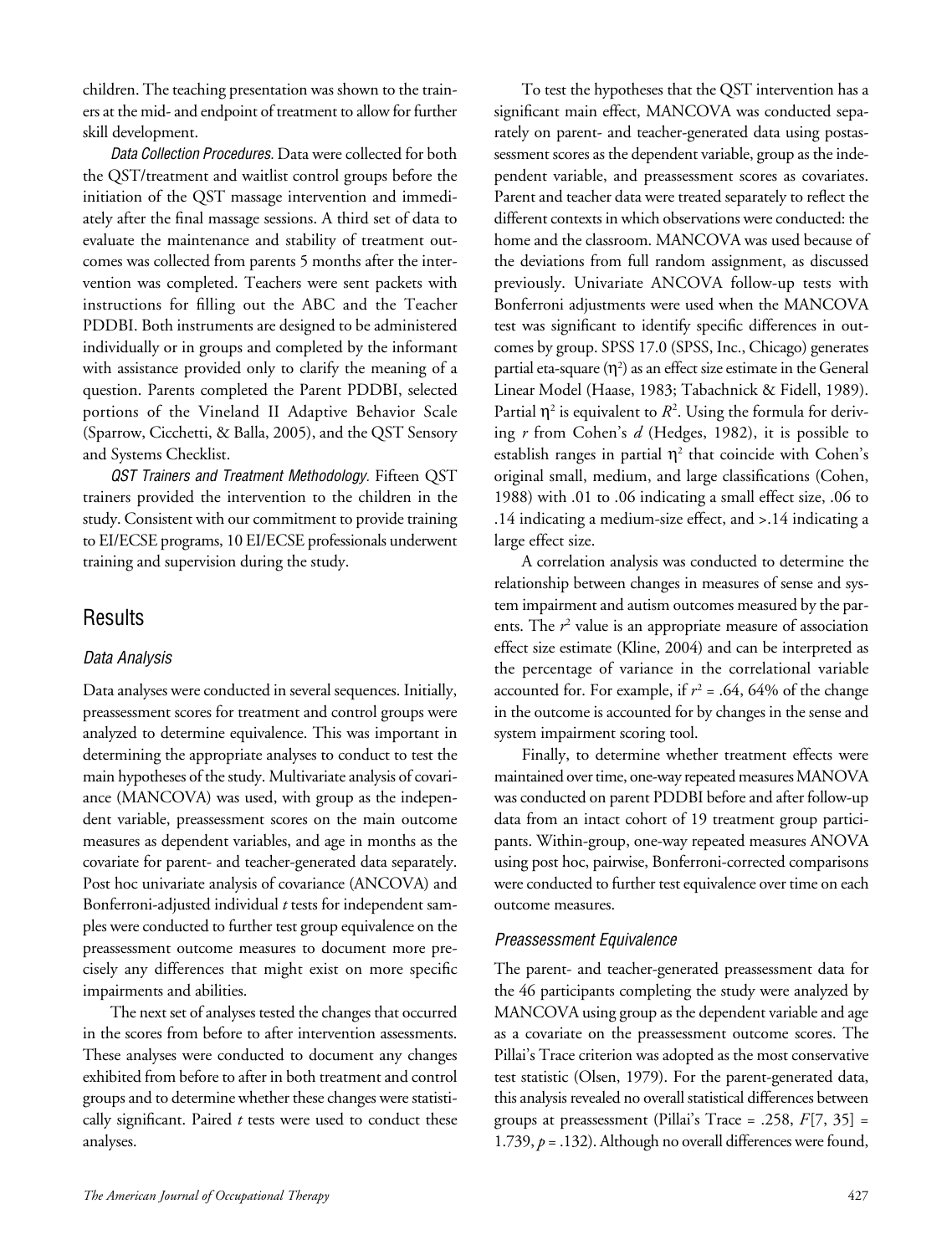children. The teaching presentation was shown to the trainers at the mid- and endpoint of treatment to allow for further skill development.

*Data Collection Procedures.* Data were collected for both the QST/treatment and waitlist control groups before the initiation of the QST massage intervention and immediately after the final massage sessions. A third set of data to evaluate the maintenance and stability of treatment outcomes was collected from parents 5 months after the intervention was completed. Teachers were sent packets with instructions for filling out the ABC and the Teacher PDDBI. Both instruments are designed to be administered individually or in groups and completed by the informant with assistance provided only to clarify the meaning of a question. Parents completed the Parent PDDBI, selected portions of the Vineland II Adaptive Behavior Scale (Sparrow, Cicchetti, & Balla, 2005), and the QST Sensory and Systems Checklist.

*QST Trainers and Treatment Methodology.* Fifteen QST trainers provided the intervention to the children in the study. Consistent with our commitment to provide training to EI/ECSE programs, 10 EI/ECSE professionals underwent training and supervision during the study.

## **Results**

#### *Data Analysis*

Data analyses were conducted in several sequences. Initially, preassessment scores for treatment and control groups were analyzed to determine equivalence. This was important in determining the appropriate analyses to conduct to test the main hypotheses of the study. Multivariate analysis of covariance (MANCOVA) was used, with group as the independent variable, preassessment scores on the main outcome measures as dependent variables, and age in months as the covariate for parent- and teacher-generated data separately. Post hoc univariate analysis of covariance (ANCOVA) and Bonferroni-adjusted individual *t* tests for independent samples were conducted to further test group equivalence on the preassessment outcome measures to document more precisely any differences that might exist on more specific impairments and abilities.

The next set of analyses tested the changes that occurred in the scores from before to after intervention assessments. These analyses were conducted to document any changes exhibited from before to after in both treatment and control groups and to determine whether these changes were statistically significant. Paired *t* tests were used to conduct these analyses.

To test the hypotheses that the QST intervention has a significant main effect, MANCOVA was conducted separately on parent- and teacher-generated data using postassessment scores as the dependent variable, group as the independent variable, and preassessment scores as covariates. Parent and teacher data were treated separately to reflect the different contexts in which observations were conducted: the home and the classroom. MANCOVA was used because of the deviations from full random assignment, as discussed previously. Univariate ANCOVA follow-up tests with Bonferroni adjustments were used when the MANCOVA test was significant to identify specific differences in outcomes by group. SPSS 17.0 (SPSS, Inc., Chicago) generates partial eta-square  $(\eta^2)$  as an effect size estimate in the General Linear Model (Haase, 1983; Tabachnick & Fidell, 1989). Partial  $\eta^2$  is equivalent to  $R^2$ . Using the formula for deriving *r* from Cohen's *d* (Hedges, 1982), it is possible to establish ranges in partial  $\eta^2$  that coincide with Cohen's original small, medium, and large classifications (Cohen, 1988) with .01 to .06 indicating a small effect size, .06 to .14 indicating a medium-size effect, and >.14 indicating a large effect size.

A correlation analysis was conducted to determine the relationship between changes in measures of sense and system impairment and autism outcomes measured by the parents. The  $r^2$  value is an appropriate measure of association effect size estimate (Kline, 2004) and can be interpreted as the percentage of variance in the correlational variable accounted for. For example, if  $r^2$  = .64, 64% of the change in the outcome is accounted for by changes in the sense and system impairment scoring tool.

Finally, to determine whether treatment effects were maintained over time, one-way repeated measures MANOVA was conducted on parent PDDBI before and after follow-up data from an intact cohort of 19 treatment group participants. Within-group, one-way repeated measures ANOVA using post hoc, pairwise, Bonferroni-corrected comparisons were conducted to further test equivalence over time on each outcome measures.

#### *Preassessment Equivalence*

The parent- and teacher-generated preassessment data for the 46 participants completing the study were analyzed by MANCOVA using group as the dependent variable and age as a covariate on the preassessment outcome scores. The Pillai's Trace criterion was adopted as the most conservative test statistic (Olsen, 1979). For the parent-generated data, this analysis revealed no overall statistical differences between groups at preassessment (Pillai's Trace = .258,  $F[7, 35]$  = 1.739, *p* = .132). Although no overall differences were found,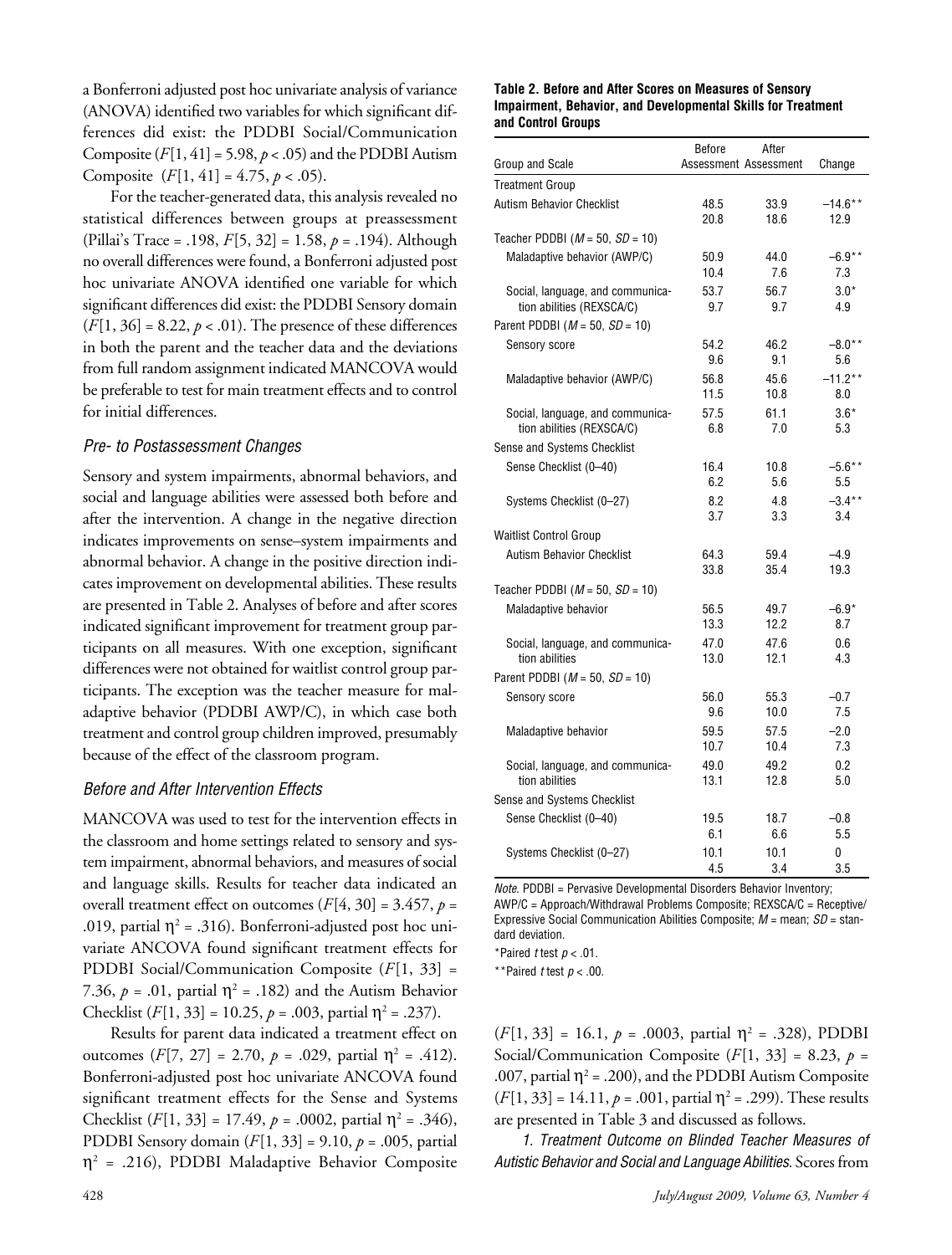a Bonferroni adjusted post hoc univariate analysis of variance (ANOVA) identified two variables for which significant differences did exist: the PDDBI Social/Communication Composite  $(F[1, 41] = 5.98, p < .05)$  and the PDDBI Autism Composite (*F*[1, 41] = 4.75, *p* < .05).

For the teacher-generated data, this analysis revealed no statistical differences between groups at preassessment (Pillai's Trace = .198, *F*[5, 32] = 1.58, *p* = .194). Although no overall differences were found, a Bonferroni adjusted post hoc univariate ANOVA identified one variable for which significant differences did exist: the PDDBI Sensory domain  $(F[1, 36] = 8.22, p < .01)$ . The presence of these differences in both the parent and the teacher data and the deviations from full random assignment indicated MANCOVA would be preferable to test for main treatment effects and to control for initial differences.

#### *Pre- to Postassessment Changes*

Sensory and system impairments, abnormal behaviors, and social and language abilities were assessed both before and after the intervention. A change in the negative direction indicates improvements on sense–system impairments and abnormal behavior. A change in the positive direction indicates improvement on developmental abilities. These results are presented in Table 2. Analyses of before and after scores indicated significant improvement for treatment group participants on all measures. With one exception, significant differences were not obtained for waitlist control group participants. The exception was the teacher measure for maladaptive behavior (PDDBI AWP/C), in which case both treatment and control group children improved, presumably because of the effect of the classroom program.

#### *Before and After Intervention Effects*

MANCOVA was used to test for the intervention effects in the classroom and home settings related to sensory and system impairment, abnormal behaviors, and measures of social and language skills. Results for teacher data indicated an overall treatment effect on outcomes  $(F[4, 30] = 3.457, p =$ .019, partial  $\eta^2$  = .316). Bonferroni-adjusted post hoc univariate ANCOVA found significant treatment effects for PDDBI Social/Communication Composite (*F*[1, 33] = 7.36,  $p = .01$ , partial  $\eta^2 = .182$ ) and the Autism Behavior Checklist  $(F[1, 33] = 10.25, p = .003$ , partial  $\eta^2 = .237$ ).

Results for parent data indicated a treatment effect on outcomes (*F*[7, 27] = 2.70, *p* = .029, partial  $η^2$  = .412). Bonferroni-adjusted post hoc univariate ANCOVA found significant treatment effects for the Sense and Systems Checklist  $(F[1, 33] = 17.49, p = .0002$ , partial  $\eta^2 = .346$ ), PDDBI Sensory domain (*F*[1, 33] = 9.10, *p* = .005, partial  $\eta^2$  = .216), PDDBI Maladaptive Behavior Composite

#### **Table 2. Before and After Scores on Measures of Sensory Impairment, Behavior, and Developmental Skills for Treatment and Control Groups**

|                                                               | <b>Before</b> | After                 |                  |
|---------------------------------------------------------------|---------------|-----------------------|------------------|
| Group and Scale                                               |               | Assessment Assessment | Change           |
| <b>Treatment Group</b>                                        |               |                       |                  |
| <b>Autism Behavior Checklist</b>                              | 48.5          | 33.9                  | $-14.6**$        |
|                                                               | 20.8          | 18.6                  | 12.9             |
| Teacher PDDBI ( $M = 50$ , $SD = 10$ )                        |               |                       |                  |
| Maladaptive behavior (AWP/C)                                  | 50.9          | 44.0                  | $-6.9**$         |
|                                                               | 10.4          | 7.6                   | 7.3              |
| Social, language, and communica-<br>tion abilities (REXSCA/C) | 53.7<br>9.7   | 56.7<br>9.7           | $3.0*$<br>4.9    |
| Parent PDDBI ( $M = 50$ , $SD = 10$ )                         |               |                       |                  |
| <b>Sensory score</b>                                          | 54.2          | 46.2                  | $-8.0**$         |
|                                                               | 9.6           | 9.1                   | 5.6              |
| Maladaptive behavior (AWP/C)                                  | 56.8<br>11.5  | 45.6<br>10.8          | $-11.2**$<br>8.0 |
| Social, language, and communica-                              | 57.5          | 61.1                  | $3.6*$           |
| tion abilities (REXSCA/C)                                     | 6.8           | 7.0                   | 5.3              |
| Sense and Systems Checklist                                   |               |                       |                  |
| Sense Checklist (0-40)                                        | 16.4          | 10.8                  | $-5.6***$        |
|                                                               | 6.2           | 5.6                   | 5.5              |
| Systems Checklist (0-27)                                      | 8.2<br>3.7    | 4.8<br>3.3            | $-3.4***$<br>3.4 |
| <b>Waitlist Control Group</b>                                 |               |                       |                  |
| <b>Autism Behavior Checklist</b>                              | 64.3          | 59.4                  | $-4.9$           |
|                                                               | 33.8          | 35.4                  | 19.3             |
| Teacher PDDBI ( $M = 50$ , $SD = 10$ )                        |               |                       |                  |
| Maladaptive behavior                                          | 56.5          | 49.7                  | $-6.9*$          |
|                                                               | 13.3          | 12.2                  | 8.7              |
| Social, language, and communica-                              | 47.0          | 47.6                  | 0.6              |
| tion abilities                                                | 13.0          | 12.1                  | 4.3              |
| Parent PDDBI ( $M = 50$ , $SD = 10$ )                         |               |                       |                  |
| Sensory score                                                 | 56.0          | 55.3                  | $-0.7$           |
|                                                               | 9.6           | 10.0                  | 7.5              |
| Maladaptive behavior                                          | 59.5          | 57.5                  | $-2.0$           |
|                                                               | 10.7          | 10.4                  | 7.3              |
| Social, language, and communica-<br>tion abilities            | 49.0<br>13.1  | 49.2<br>12.8          | 0.2<br>5.0       |
| Sense and Systems Checklist                                   |               |                       |                  |
| Sense Checklist (0-40)                                        | 19.5          | 18.7                  | $-0.8$           |
|                                                               | 6.1           | 6.6                   | 5.5              |
| Systems Checklist (0-27)                                      | 10.1          | 10.1                  | 0                |
|                                                               | 4.5           | 3.4                   | 3.5              |

*Note.* PDDBI = Pervasive Developmental Disorders Behavior Inventory; AWP/C = Approach/Withdrawal Problems Composite; REXSCA/C = Receptive/ Expressive Social Communication Abilities Composite; *M* = mean; *SD* = standard deviation.

\*Paired *t* test *p* < .01.

\*\*Paired *t* test *p* < .00.

 $(F[1, 33] = 16.1, p = .0003,$  partial  $\eta^2 = .328$ ), PDDBI Social/Communication Composite  $(F[1, 33] = 8.23, p =$ .007, partial  $\eta^2$  = .200), and the PDDBI Autism Composite  $(F[1, 33] = 14.11, p = .001$ , partial  $\eta^2 = .299$ ). These results are presented in Table 3 and discussed as follows.

*1. Treatment Outcome on Blinded Teacher Measures of Autistic Behavior and Social and Language Abilities.* Scores from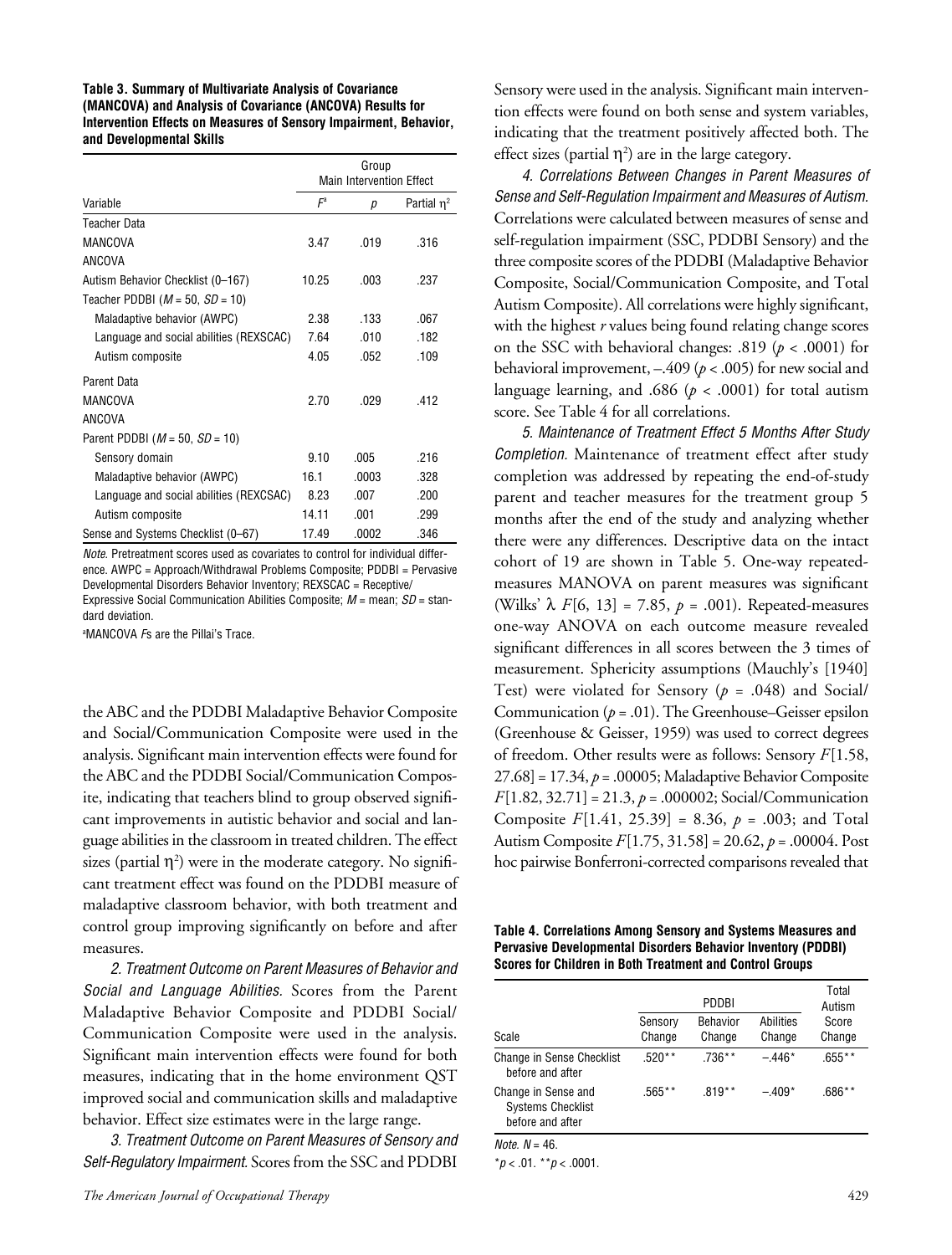#### **Table 3. Summary of Multivariate Analysis of Covariance (MANCOVA) and Analysis of Covariance (ANCOVA) Results for Intervention Effects on Measures of Sensory Impairment, Behavior, and Developmental Skills**

|                                         |                                 | Group |                  |
|-----------------------------------------|---------------------------------|-------|------------------|
|                                         | <b>Main Intervention Effect</b> |       |                  |
| Variable                                | $F^a$                           | р     | Partial $\eta^2$ |
| <b>Teacher Data</b>                     |                                 |       |                  |
| <b>MANCOVA</b>                          | 3.47                            | .019  | .316             |
| <b>ANCOVA</b>                           |                                 |       |                  |
| Autism Behavior Checklist (0-167)       | 10.25                           | .003  | .237             |
| Teacher PDDBI ( $M = 50$ , $SD = 10$ )  |                                 |       |                  |
| Maladaptive behavior (AWPC)             | 2.38                            | .133  | .067             |
| Language and social abilities (REXSCAC) | 7.64                            | .010  | .182             |
| Autism composite                        | 4.05                            | .052  | .109             |
| Parent Data                             |                                 |       |                  |
| <b>MANCOVA</b>                          | 2.70                            | .029  | .412             |
| <b>ANCOVA</b>                           |                                 |       |                  |
| Parent PDDBI ( $M = 50$ , $SD = 10$ )   |                                 |       |                  |
| Sensory domain                          | 9.10                            | .005  | .216             |
| Maladaptive behavior (AWPC)             | 16.1                            | .0003 | .328             |
| Language and social abilities (REXCSAC) | 8.23                            | .007  | .200             |
| Autism composite                        | 14.11                           | .001  | .299             |
| Sense and Systems Checklist (0-67)      | 17.49                           | .0002 | .346             |

*Note.* Pretreatment scores used as covariates to control for individual difference. AWPC = Approach/Withdrawal Problems Composite; PDDBI = Pervasive Developmental Disorders Behavior Inventory; REXSCAC = Receptive/ Expressive Social Communication Abilities Composite; *M* = mean; *SD* = standard deviation.

a MANCOVA *F*s are the Pillai's Trace.

the ABC and the PDDBI Maladaptive Behavior Composite and Social/Communication Composite were used in the analysis. Significant main intervention effects were found for the ABC and the PDDBI Social/Communication Composite, indicating that teachers blind to group observed significant improvements in autistic behavior and social and language abilities in the classroom in treated children. The effect sizes (partial  $\eta^2$ ) were in the moderate category. No significant treatment effect was found on the PDDBI measure of maladaptive classroom behavior, with both treatment and control group improving significantly on before and after measures.

*2. Treatment Outcome on Parent Measures of Behavior and Social and Language Abilities.* Scores from the Parent Maladaptive Behavior Composite and PDDBI Social/ Communication Composite were used in the analysis. Significant main intervention effects were found for both measures, indicating that in the home environment QST improved social and communication skills and maladaptive behavior. Effect size estimates were in the large range.

*3. Treatment Outcome on Parent Measures of Sensory and Self-Regulatory Impairment.* Scores from the SSC and PDDBI

Sensory were used in the analysis. Significant main intervention effects were found on both sense and system variables, indicating that the treatment positively affected both. The effect sizes (partial  $\eta^2$ ) are in the large category.

*4. Correlations Between Changes in Parent Measures of Sense and Self-Regulation Impairment and Measures of Autism.*  Correlations were calculated between measures of sense and self-regulation impairment (SSC, PDDBI Sensory) and the three composite scores of the PDDBI (Maladaptive Behavior Composite, Social/Communication Composite, and Total Autism Composite). All correlations were highly significant, with the highest *r* values being found relating change scores on the SSC with behavioral changes: .819 (*p* < .0001) for behavioral improvement, –.409 (*p* < .005) for new social and language learning, and .686 ( $p < .0001$ ) for total autism score. See Table 4 for all correlations.

*5. Maintenance of Treatment Effect 5 Months After Study Completion.* Maintenance of treatment effect after study completion was addressed by repeating the end-of-study parent and teacher measures for the treatment group 5 months after the end of the study and analyzing whether there were any differences. Descriptive data on the intact cohort of 19 are shown in Table 5. One-way repeatedmeasures MANOVA on parent measures was significant (Wilks'  $\lambda$  *F*[6, 13] = 7.85, *p* = .001). Repeated-measures one-way ANOVA on each outcome measure revealed significant differences in all scores between the 3 times of measurement. Sphericity assumptions (Mauchly's [1940] Test) were violated for Sensory (*p* = .048) and Social/ Communication (*p* = .01). The Greenhouse–Geisser epsilon (Greenhouse & Geisser, 1959) was used to correct degrees of freedom. Other results were as follows: Sensory *F*[1.58, 27.68] = 17.34, *p* = .00005; Maladaptive Behavior Composite *F*[1.82, 32.71] = 21.3, *p* = .000002; Social/Communication Composite *F*[1.41, 25.39] = 8.36, *p* = .003; and Total Autism Composite *F*[1.75, 31.58] = 20.62, *p* = .00004. Post hoc pairwise Bonferroni-corrected comparisons revealed that

**Table 4. Correlations Among Sensory and Systems Measures and Pervasive Developmental Disorders Behavior Inventory (PDDBI) Scores for Children in Both Treatment and Control Groups**

|                                                                     | PDDBI             |                           |                     | Total<br>Autism |
|---------------------------------------------------------------------|-------------------|---------------------------|---------------------|-----------------|
| Scale                                                               | Sensory<br>Change | <b>Behavior</b><br>Change | Abilities<br>Change | Score<br>Change |
| <b>Change in Sense Checklist</b><br>before and after                | $.520**$          | $.736**$                  | $-446*$             | $.655***$       |
| Change in Sense and<br><b>Systems Checklist</b><br>before and after | $.565***$         | $.819**$                  | $-.409*$            | .686**          |
| $M - 1 - M$                                                         |                   |                           |                     |                 |

*Note. N* = 46.

\**p* < .01. \*\**p* < .0001.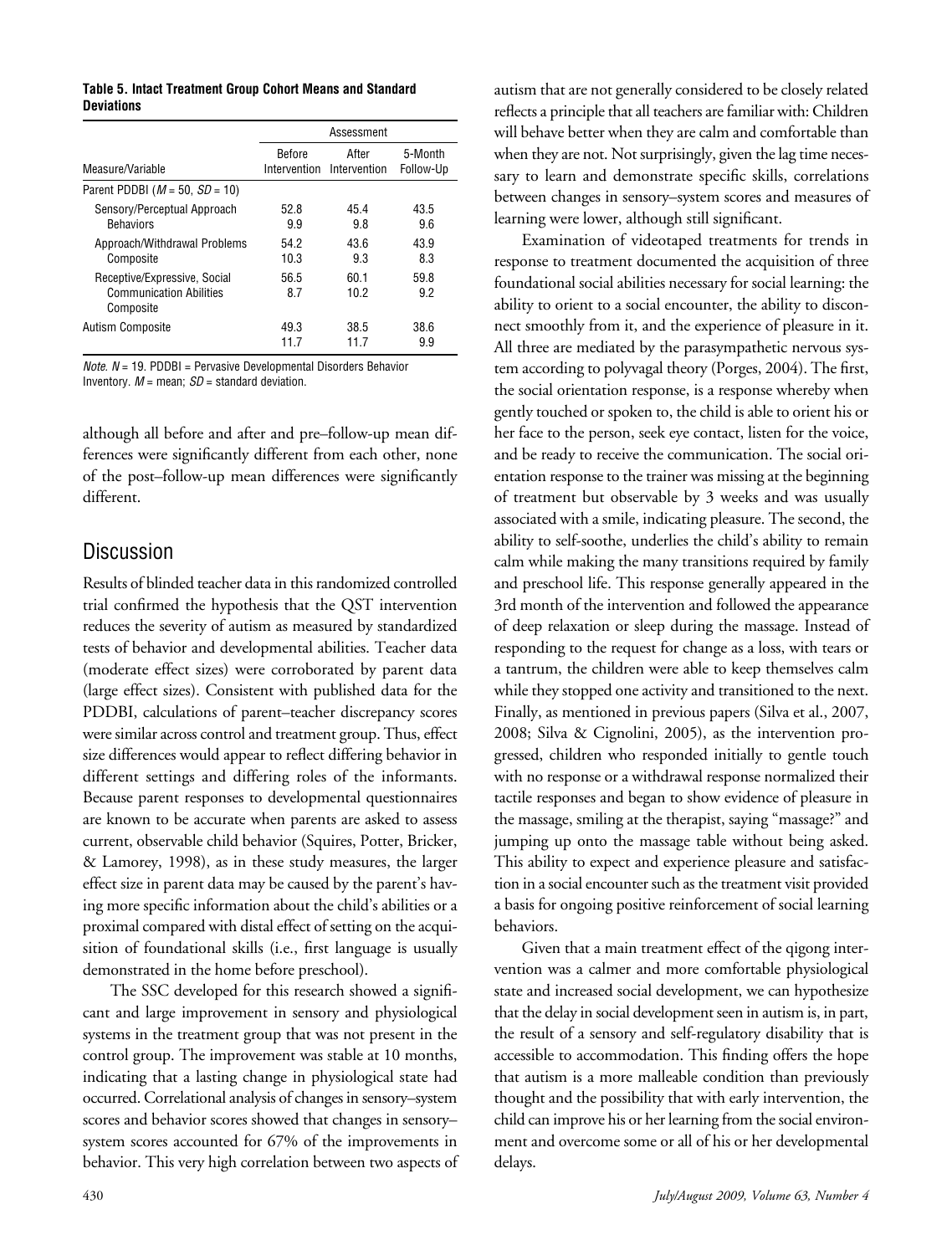#### **Table 5. Intact Treatment Group Cohort Means and Standard Deviations**

|                                                                             | Assessment    |                                    |                      |
|-----------------------------------------------------------------------------|---------------|------------------------------------|----------------------|
| Measure/Variable                                                            | <b>Before</b> | After<br>Intervention Intervention | 5-Month<br>Follow-Up |
| Parent PDDBI ( $M = 50$ , $SD = 10$ )                                       |               |                                    |                      |
| Sensory/Perceptual Approach<br><b>Behaviors</b>                             | 52.8<br>9.9   | 45.4<br>9.8                        | 43.5<br>9.6          |
| Approach/Withdrawal Problems<br>Composite                                   | 54.2<br>10.3  | 43.6<br>9.3                        | 43.9<br>8.3          |
| Receptive/Expressive, Social<br><b>Communication Abilities</b><br>Composite | 56.5<br>8.7   | 60.1<br>10.2                       | 59.8<br>92           |
| Autism Composite                                                            | 49.3<br>11.7  | 38.5<br>11.7                       | 38.6<br>9.9          |

*Note. N* = 19. PDDBI = Pervasive Developmental Disorders Behavior Inventory. *M* = mean; *SD* = standard deviation.

although all before and after and pre–follow-up mean differences were significantly different from each other, none of the post–follow-up mean differences were significantly different.

# Discussion

Results of blinded teacher data in this randomized controlled trial confirmed the hypothesis that the QST intervention reduces the severity of autism as measured by standardized tests of behavior and developmental abilities. Teacher data (moderate effect sizes) were corroborated by parent data (large effect sizes). Consistent with published data for the PDDBI, calculations of parent–teacher discrepancy scores were similar across control and treatment group. Thus, effect size differences would appear to reflect differing behavior in different settings and differing roles of the informants. Because parent responses to developmental questionnaires are known to be accurate when parents are asked to assess current, observable child behavior (Squires, Potter, Bricker, & Lamorey, 1998), as in these study measures, the larger effect size in parent data may be caused by the parent's having more specific information about the child's abilities or a proximal compared with distal effect of setting on the acquisition of foundational skills (i.e., first language is usually demonstrated in the home before preschool).

The SSC developed for this research showed a significant and large improvement in sensory and physiological systems in the treatment group that was not present in the control group. The improvement was stable at 10 months, indicating that a lasting change in physiological state had occurred. Correlational analysis of changes in sensory–system scores and behavior scores showed that changes in sensory– system scores accounted for 67% of the improvements in behavior. This very high correlation between two aspects of autism that are not generally considered to be closely related reflects a principle that all teachers are familiar with: Children will behave better when they are calm and comfortable than when they are not. Not surprisingly, given the lag time necessary to learn and demonstrate specific skills, correlations between changes in sensory–system scores and measures of learning were lower, although still significant.

Examination of videotaped treatments for trends in response to treatment documented the acquisition of three foundational social abilities necessary for social learning: the ability to orient to a social encounter, the ability to disconnect smoothly from it, and the experience of pleasure in it. All three are mediated by the parasympathetic nervous system according to polyvagal theory (Porges, 2004). The first, the social orientation response, is a response whereby when gently touched or spoken to, the child is able to orient his or her face to the person, seek eye contact, listen for the voice, and be ready to receive the communication. The social orientation response to the trainer was missing at the beginning of treatment but observable by 3 weeks and was usually associated with a smile, indicating pleasure. The second, the ability to self-soothe, underlies the child's ability to remain calm while making the many transitions required by family and preschool life. This response generally appeared in the 3rd month of the intervention and followed the appearance of deep relaxation or sleep during the massage. Instead of responding to the request for change as a loss, with tears or a tantrum, the children were able to keep themselves calm while they stopped one activity and transitioned to the next. Finally, as mentioned in previous papers (Silva et al., 2007, 2008; Silva & Cignolini, 2005), as the intervention progressed, children who responded initially to gentle touch with no response or a withdrawal response normalized their tactile responses and began to show evidence of pleasure in the massage, smiling at the therapist, saying "massage?" and jumping up onto the massage table without being asked. This ability to expect and experience pleasure and satisfaction in a social encounter such as the treatment visit provided a basis for ongoing positive reinforcement of social learning behaviors.

Given that a main treatment effect of the qigong intervention was a calmer and more comfortable physiological state and increased social development, we can hypothesize that the delay in social development seen in autism is, in part, the result of a sensory and self-regulatory disability that is accessible to accommodation. This finding offers the hope that autism is a more malleable condition than previously thought and the possibility that with early intervention, the child can improve his or her learning from the social environment and overcome some or all of his or her developmental delays.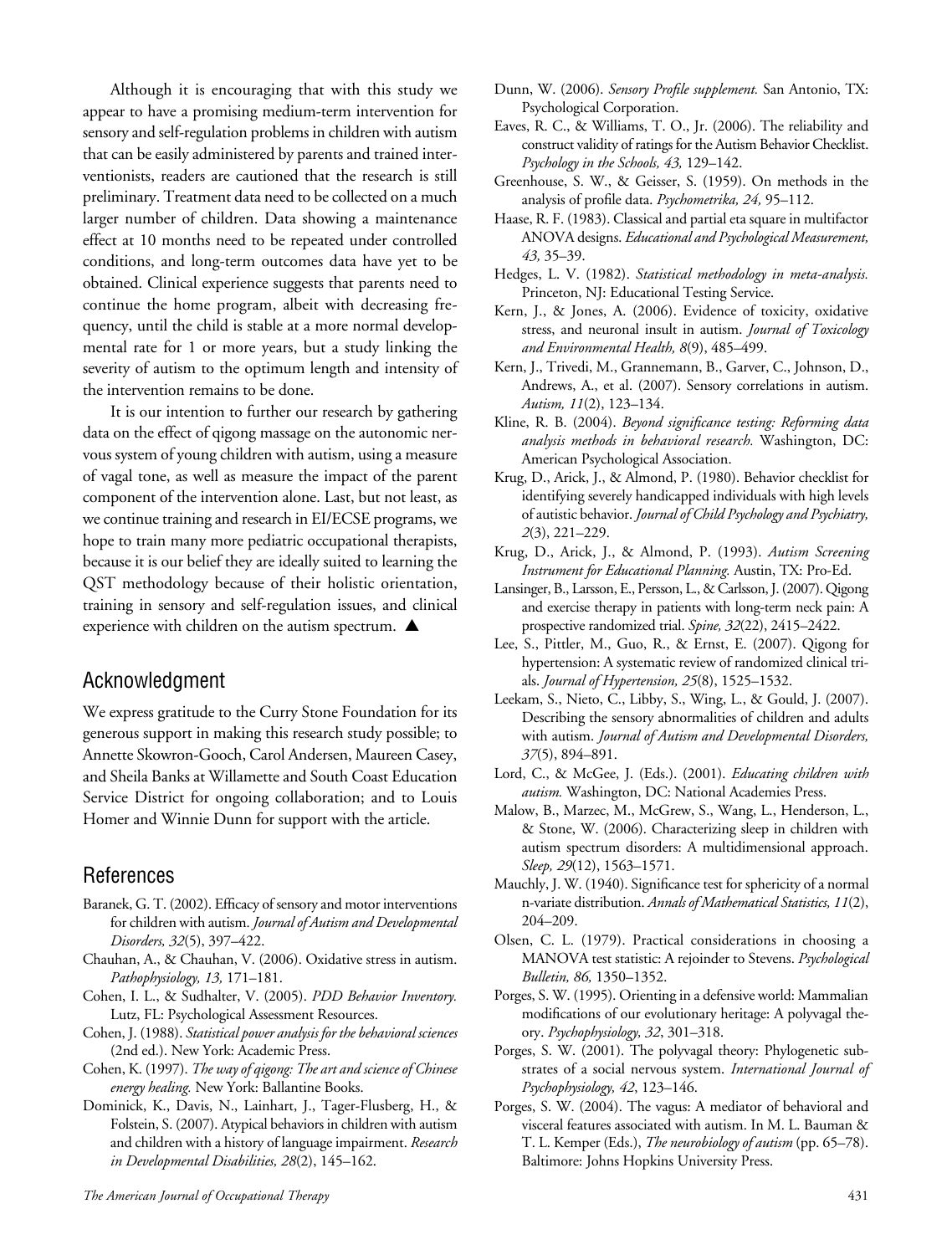Although it is encouraging that with this study we appear to have a promising medium-term intervention for sensory and self-regulation problems in children with autism that can be easily administered by parents and trained interventionists, readers are cautioned that the research is still preliminary. Treatment data need to be collected on a much larger number of children. Data showing a maintenance effect at 10 months need to be repeated under controlled conditions, and long-term outcomes data have yet to be obtained. Clinical experience suggests that parents need to continue the home program, albeit with decreasing frequency, until the child is stable at a more normal developmental rate for 1 or more years, but a study linking the severity of autism to the optimum length and intensity of the intervention remains to be done.

It is our intention to further our research by gathering data on the effect of qigong massage on the autonomic nervous system of young children with autism, using a measure of vagal tone, as well as measure the impact of the parent component of the intervention alone. Last, but not least, as we continue training and research in EI/ECSE programs, we hope to train many more pediatric occupational therapists, because it is our belief they are ideally suited to learning the QST methodology because of their holistic orientation, training in sensory and self-regulation issues, and clinical experience with children on the autism spectrum.  $\blacktriangle$ 

# Acknowledgment

We express gratitude to the Curry Stone Foundation for its generous support in making this research study possible; to Annette Skowron-Gooch, Carol Andersen, Maureen Casey, and Sheila Banks at Willamette and South Coast Education Service District for ongoing collaboration; and to Louis Homer and Winnie Dunn for support with the article.

# References

- Baranek, G. T. (2002). Efficacy of sensory and motor interventions for children with autism. *Journal of Autism and Developmental Disorders, 32*(5), 397–422.
- Chauhan, A., & Chauhan, V. (2006). Oxidative stress in autism. *Pathophysiology, 13,* 171–181.
- Cohen, I. L., & Sudhalter, V. (2005). *PDD Behavior Inventory.* Lutz, FL: Psychological Assessment Resources.
- Cohen, J. (1988). *Statistical power analysis for the behavioral sciences*  (2nd ed.). New York: Academic Press.
- Cohen, K. (1997). *The way of qigong: The art and science of Chinese energy healing.* New York: Ballantine Books.
- Dominick, K., Davis, N., Lainhart, J., Tager-Flusberg, H., & Folstein, S. (2007). Atypical behaviors in children with autism and children with a history of language impairment. *Research in Developmental Disabilities, 28*(2), 145–162.
- Dunn, W. (2006). *Sensory Profile supplement.* San Antonio, TX: Psychological Corporation.
- Eaves, R. C., & Williams, T. O., Jr. (2006). The reliability and construct validity of ratings for the Autism Behavior Checklist. *Psychology in the Schools, 43,* 129–142.
- Greenhouse, S. W., & Geisser, S. (1959). On methods in the analysis of profile data. *Psychometrika, 24,* 95–112.
- Haase, R. F. (1983). Classical and partial eta square in multifactor ANOVA designs. *Educational and Psychological Measurement, 43,* 35–39.
- Hedges, L. V. (1982). *Statistical methodology in meta-analysis.* Princeton, NJ: Educational Testing Service.
- Kern, J., & Jones, A. (2006). Evidence of toxicity, oxidative stress, and neuronal insult in autism. *Journal of Toxicology and Environmental Health, 8*(9), 485–499.
- Kern, J., Trivedi, M., Grannemann, B., Garver, C., Johnson, D., Andrews, A., et al. (2007). Sensory correlations in autism. *Autism, 11*(2), 123–134.
- Kline, R. B. (2004). *Beyond significance testing: Reforming data analysis methods in behavioral research.* Washington, DC: American Psychological Association.
- Krug, D., Arick, J., & Almond, P. (1980). Behavior checklist for identifying severely handicapped individuals with high levels of autistic behavior. *Journal of Child Psychology and Psychiatry, 2*(3), 221–229.
- Krug, D., Arick, J., & Almond, P. (1993). *Autism Screening Instrument for Educational Planning.* Austin, TX: Pro-Ed.
- Lansinger, B., Larsson, E., Persson, L., & Carlsson, J. (2007). Qigong and exercise therapy in patients with long-term neck pain: A prospective randomized trial. *Spine, 32*(22), 2415–2422.
- Lee, S., Pittler, M., Guo, R., & Ernst, E. (2007). Qigong for hypertension: A systematic review of randomized clinical trials. *Journal of Hypertension, 25*(8), 1525–1532.
- Leekam, S., Nieto, C., Libby, S., Wing, L., & Gould, J. (2007). Describing the sensory abnormalities of children and adults with autism. *Journal of Autism and Developmental Disorders, 37*(5), 894–891.
- Lord, C., & McGee, J. (Eds.). (2001). *Educating children with autism.* Washington, DC: National Academies Press.
- Malow, B., Marzec, M., McGrew, S., Wang, L., Henderson, L., & Stone, W. (2006). Characterizing sleep in children with autism spectrum disorders: A multidimensional approach. *Sleep, 29*(12), 1563–1571.
- Mauchly, J. W. (1940). Significance test for sphericity of a normal n-variate distribution. *Annals of Mathematical Statistics, 11*(2), 204–209.
- Olsen, C. L. (1979). Practical considerations in choosing a MANOVA test statistic: A rejoinder to Stevens. *Psychological Bulletin, 86,* 1350–1352.
- Porges, S. W. (1995). Orienting in a defensive world: Mammalian modifications of our evolutionary heritage: A polyvagal theory. *Psychophysiology, 32*, 301–318.
- Porges, S. W. (2001). The polyvagal theory: Phylogenetic substrates of a social nervous system. *International Journal of Psychophysiology, 42*, 123–146.
- Porges, S. W. (2004). The vagus: A mediator of behavioral and visceral features associated with autism. In M. L. Bauman & T. L. Kemper (Eds.), *The neurobiology of autism* (pp. 65–78). Baltimore: Johns Hopkins University Press.